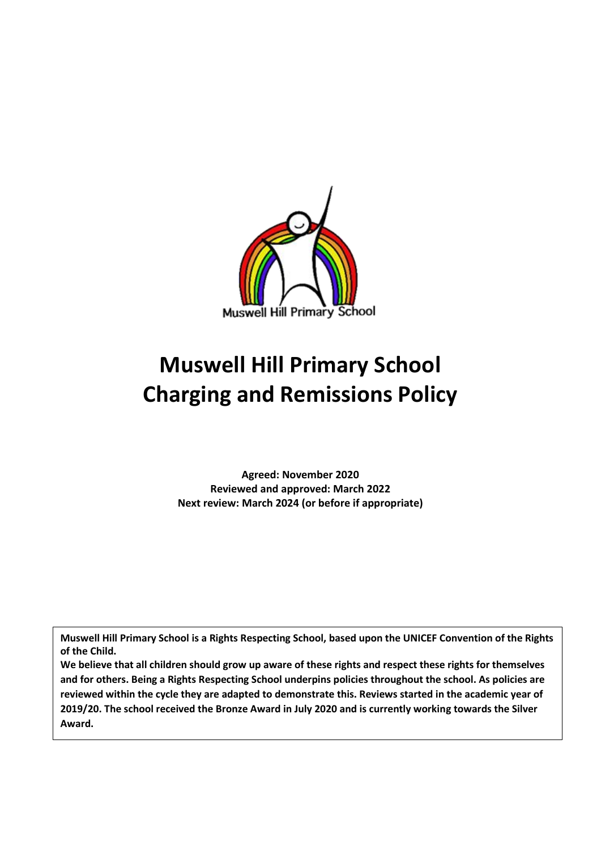

# **Muswell Hill Primary School Charging and Remissions Policy**

**Agreed: November 2020 Reviewed and approved: March 2022 Next review: March 2024 (or before if appropriate)**

**Muswell Hill Primary School is a Rights Respecting School, based upon the UNICEF Convention of the Rights of the Child.**

**We believe that all children should grow up aware of these rights and respect these rights for themselves and for others. Being a Rights Respecting School underpins policies throughout the school. As policies are reviewed within the cycle they are adapted to demonstrate this. Reviews started in the academic year of 2019/20. The school received the Bronze Award in July 2020 and is currently working towards the Silver Award.**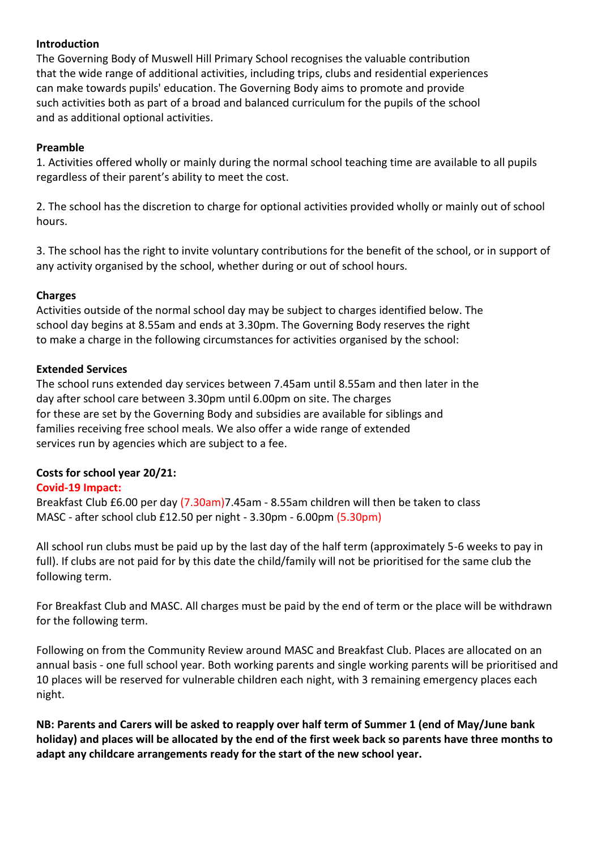#### **Introduction**

The Governing Body of Muswell Hill Primary School recognises the valuable contribution that the wide range of additional activities, including trips, clubs and residential experiences can make towards pupils' education. The Governing Body aims to promote and provide such activities both as part of a broad and balanced curriculum for the pupils of the school and as additional optional activities.

## **Preamble**

1. Activities offered wholly or mainly during the normal school teaching time are available to all pupils regardless of their parent's ability to meet the cost.

2. The school has the discretion to charge for optional activities provided wholly or mainly out of school hours.

3. The school has the right to invite voluntary contributions for the benefit of the school, or in support of any activity organised by the school, whether during or out of school hours.

## **Charges**

Activities outside of the normal school day may be subject to charges identified below. The school day begins at 8.55am and ends at 3.30pm. The Governing Body reserves the right to make a charge in the following circumstances for activities organised by the school:

## **Extended Services**

The school runs extended day services between 7.45am until 8.55am and then later in the day after school care between 3.30pm until 6.00pm on site. The charges for these are set by the Governing Body and subsidies are available for siblings and families receiving free school meals. We also offer a wide range of extended services run by agencies which are subject to a fee.

## **Costs for school year 20/21:**

# **Covid-19 Impact:**

Breakfast Club £6.00 per day (7.30am)7.45am - 8.55am children will then be taken to class MASC - after school club £12.50 per night - 3.30pm - 6.00pm (5.30pm)

All school run clubs must be paid up by the last day of the half term (approximately 5-6 weeks to pay in full). If clubs are not paid for by this date the child/family will not be prioritised for the same club the following term.

For Breakfast Club and MASC. All charges must be paid by the end of term or the place will be withdrawn for the following term.

Following on from the Community Review around MASC and Breakfast Club. Places are allocated on an annual basis - one full school year. Both working parents and single working parents will be prioritised and 10 places will be reserved for vulnerable children each night, with 3 remaining emergency places each night.

**NB: Parents and Carers will be asked to reapply over half term of Summer 1 (end of May/June bank holiday) and places will be allocated by the end of the first week back so parents have three months to adapt any childcare arrangements ready for the start of the new school year.**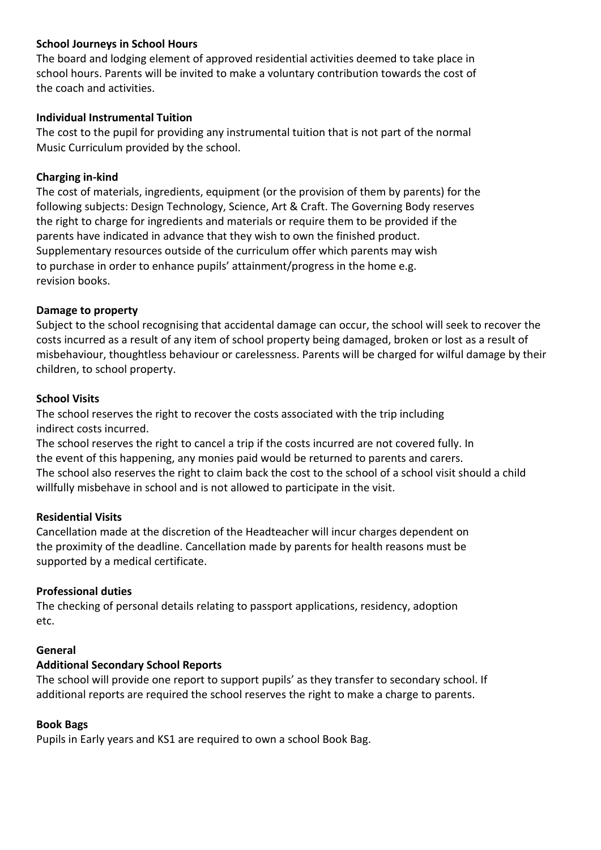## **School Journeys in School Hours**

The board and lodging element of approved residential activities deemed to take place in school hours. Parents will be invited to make a voluntary contribution towards the cost of the coach and activities.

#### **Individual Instrumental Tuition**

The cost to the pupil for providing any instrumental tuition that is not part of the normal Music Curriculum provided by the school.

#### **Charging in-kind**

The cost of materials, ingredients, equipment (or the provision of them by parents) for the following subjects: Design Technology, Science, Art & Craft. The Governing Body reserves the right to charge for ingredients and materials or require them to be provided if the parents have indicated in advance that they wish to own the finished product. Supplementary resources outside of the curriculum offer which parents may wish to purchase in order to enhance pupils' attainment/progress in the home e.g. revision books.

#### **Damage to property**

Subject to the school recognising that accidental damage can occur, the school will seek to recover the costs incurred as a result of any item of school property being damaged, broken or lost as a result of misbehaviour, thoughtless behaviour or carelessness. Parents will be charged for wilful damage by their children, to school property.

#### **School Visits**

The school reserves the right to recover the costs associated with the trip including indirect costs incurred.

The school reserves the right to cancel a trip if the costs incurred are not covered fully. In the event of this happening, any monies paid would be returned to parents and carers. The school also reserves the right to claim back the cost to the school of a school visit should a child willfully misbehave in school and is not allowed to participate in the visit.

#### **Residential Visits**

Cancellation made at the discretion of the Headteacher will incur charges dependent on the proximity of the deadline. Cancellation made by parents for health reasons must be supported by a medical certificate.

## **Professional duties**

The checking of personal details relating to passport applications, residency, adoption etc.

#### **General**

## **Additional Secondary School Reports**

The school will provide one report to support pupils' as they transfer to secondary school. If additional reports are required the school reserves the right to make a charge to parents.

## **Book Bags**

Pupils in Early years and KS1 are required to own a school Book Bag.